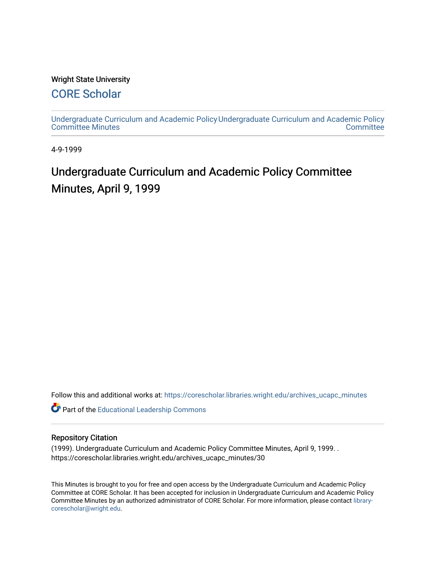### Wright State University

### [CORE Scholar](https://corescholar.libraries.wright.edu/)

[Undergraduate Curriculum and Academic Policy](https://corescholar.libraries.wright.edu/archives_ucapc_minutes) [Undergraduate Curriculum and Academic Policy](https://corescholar.libraries.wright.edu/archives_ucapc)  [Committee Minutes](https://corescholar.libraries.wright.edu/archives_ucapc_minutes) **Committee** 

4-9-1999

## Undergraduate Curriculum and Academic Policy Committee Minutes, April 9, 1999

Follow this and additional works at: [https://corescholar.libraries.wright.edu/archives\\_ucapc\\_minutes](https://corescholar.libraries.wright.edu/archives_ucapc_minutes?utm_source=corescholar.libraries.wright.edu%2Farchives_ucapc_minutes%2F30&utm_medium=PDF&utm_campaign=PDFCoverPages) 

Part of the [Educational Leadership Commons](http://network.bepress.com/hgg/discipline/1230?utm_source=corescholar.libraries.wright.edu%2Farchives_ucapc_minutes%2F30&utm_medium=PDF&utm_campaign=PDFCoverPages) 

#### Repository Citation

(1999). Undergraduate Curriculum and Academic Policy Committee Minutes, April 9, 1999. . https://corescholar.libraries.wright.edu/archives\_ucapc\_minutes/30

This Minutes is brought to you for free and open access by the Undergraduate Curriculum and Academic Policy Committee at CORE Scholar. It has been accepted for inclusion in Undergraduate Curriculum and Academic Policy Committee Minutes by an authorized administrator of CORE Scholar. For more information, please contact [library](mailto:library-corescholar@wright.edu)[corescholar@wright.edu](mailto:library-corescholar@wright.edu).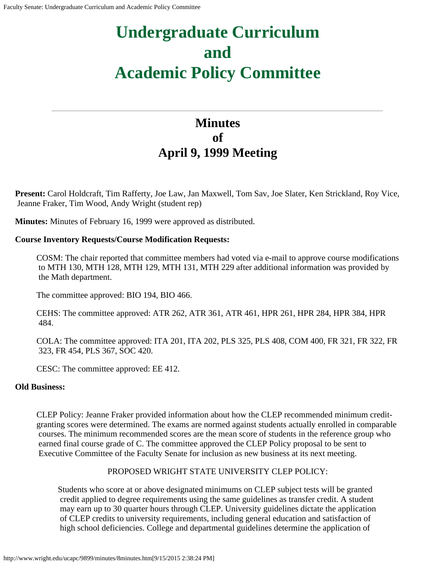# **Undergraduate Curriculum and Academic Policy Committee**

## **Minutes of April 9, 1999 Meeting**

**Present:** Carol Holdcraft, Tim Rafferty, Joe Law, Jan Maxwell, Tom Sav, Joe Slater, Ken Strickland, Roy Vice, Jeanne Fraker, Tim Wood, Andy Wright (student rep)

**Minutes:** Minutes of February 16, 1999 were approved as distributed.

### **Course Inventory Requests/Course Modification Requests:**

COSM: The chair reported that committee members had voted via e-mail to approve course modifications to MTH 130, MTH 128, MTH 129, MTH 131, MTH 229 after additional information was provided by the Math department.

The committee approved: BIO 194, BIO 466.

CEHS: The committee approved: ATR 262, ATR 361, ATR 461, HPR 261, HPR 284, HPR 384, HPR 484.

COLA: The committee approved: ITA 201, ITA 202, PLS 325, PLS 408, COM 400, FR 321, FR 322, FR 323, FR 454, PLS 367, SOC 420.

CESC: The committee approved: EE 412.

### **Old Business:**

CLEP Policy: Jeanne Fraker provided information about how the CLEP recommended minimum creditgranting scores were determined. The exams are normed against students actually enrolled in comparable courses. The minimum recommended scores are the mean score of students in the reference group who earned final course grade of C. The committee approved the CLEP Policy proposal to be sent to Executive Committee of the Faculty Senate for inclusion as new business at its next meeting.

### PROPOSED WRIGHT STATE UNIVERSITY CLEP POLICY:

Students who score at or above designated minimums on CLEP subject tests will be granted credit applied to degree requirements using the same guidelines as transfer credit. A student may earn up to 30 quarter hours through CLEP. University guidelines dictate the application of CLEP credits to university requirements, including general education and satisfaction of high school deficiencies. College and departmental guidelines determine the application of